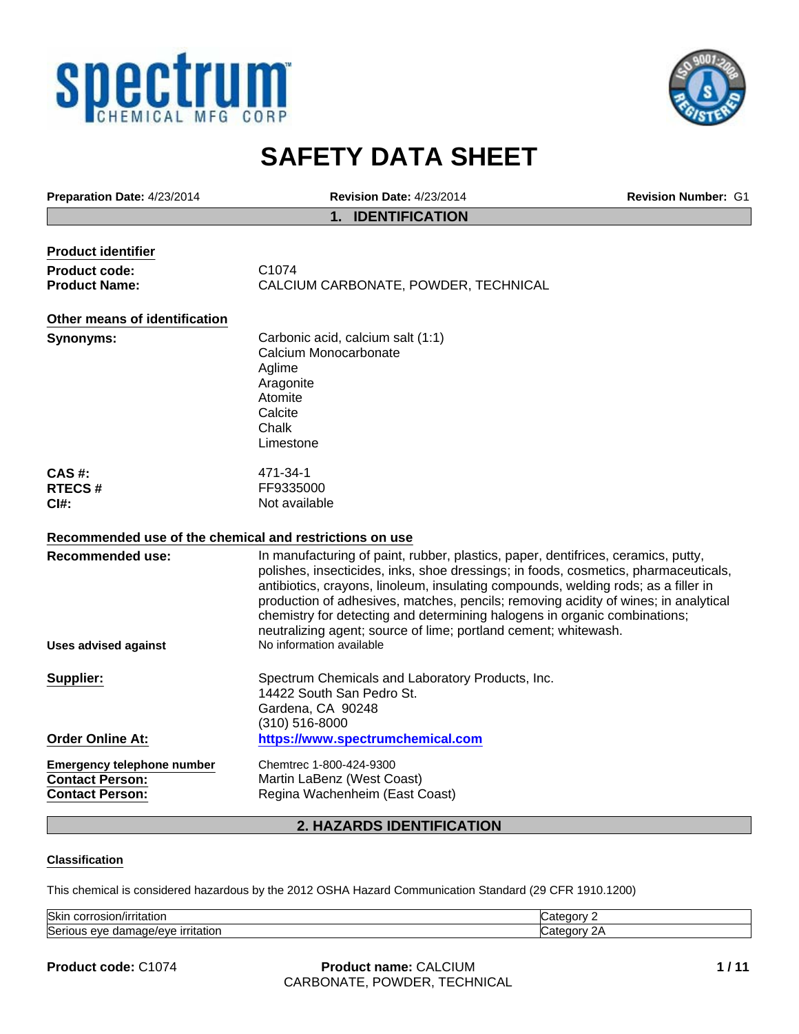



# **SAFETY DATA SHEET**

| Preparation Date: 4/23/2014                             | <b>Revision Date: 4/23/2014</b>                                                                                                                                           | <b>Revision Number: G1</b> |  |
|---------------------------------------------------------|---------------------------------------------------------------------------------------------------------------------------------------------------------------------------|----------------------------|--|
|                                                         | <b>IDENTIFICATION</b><br>1.                                                                                                                                               |                            |  |
|                                                         |                                                                                                                                                                           |                            |  |
| <b>Product identifier</b>                               |                                                                                                                                                                           |                            |  |
| <b>Product code:</b>                                    | C1074                                                                                                                                                                     |                            |  |
| <b>Product Name:</b>                                    | CALCIUM CARBONATE, POWDER, TECHNICAL                                                                                                                                      |                            |  |
| Other means of identification                           |                                                                                                                                                                           |                            |  |
| <b>Synonyms:</b>                                        | Carbonic acid, calcium salt (1:1)                                                                                                                                         |                            |  |
|                                                         | Calcium Monocarbonate                                                                                                                                                     |                            |  |
|                                                         | Aglime                                                                                                                                                                    |                            |  |
|                                                         | Aragonite                                                                                                                                                                 |                            |  |
|                                                         | Atomite                                                                                                                                                                   |                            |  |
|                                                         | Calcite                                                                                                                                                                   |                            |  |
|                                                         | Chalk                                                                                                                                                                     |                            |  |
|                                                         | Limestone                                                                                                                                                                 |                            |  |
| CAS#:                                                   | 471-34-1                                                                                                                                                                  |                            |  |
| <b>RTECS#</b>                                           | FF9335000                                                                                                                                                                 |                            |  |
| $C$ I#:                                                 | Not available                                                                                                                                                             |                            |  |
| Recommended use of the chemical and restrictions on use |                                                                                                                                                                           |                            |  |
|                                                         |                                                                                                                                                                           |                            |  |
| <b>Recommended use:</b>                                 | In manufacturing of paint, rubber, plastics, paper, dentifrices, ceramics, putty,                                                                                         |                            |  |
|                                                         | polishes, insecticides, inks, shoe dressings; in foods, cosmetics, pharmaceuticals,                                                                                       |                            |  |
|                                                         | antibiotics, crayons, linoleum, insulating compounds, welding rods; as a filler in<br>production of adhesives, matches, pencils; removing acidity of wines; in analytical |                            |  |
|                                                         | chemistry for detecting and determining halogens in organic combinations;                                                                                                 |                            |  |
|                                                         | neutralizing agent; source of lime; portland cement; whitewash.                                                                                                           |                            |  |
| Uses advised against                                    | No information available                                                                                                                                                  |                            |  |
|                                                         |                                                                                                                                                                           |                            |  |
| Supplier:                                               | Spectrum Chemicals and Laboratory Products, Inc.                                                                                                                          |                            |  |
|                                                         | 14422 South San Pedro St.                                                                                                                                                 |                            |  |
|                                                         | Gardena, CA 90248                                                                                                                                                         |                            |  |
|                                                         | (310) 516-8000                                                                                                                                                            |                            |  |
| <b>Order Online At:</b>                                 | https://www.spectrumchemical.com                                                                                                                                          |                            |  |
| <b>Emergency telephone number</b>                       | Chemtrec 1-800-424-9300                                                                                                                                                   |                            |  |
| <b>Contact Person:</b>                                  | Martin LaBenz (West Coast)                                                                                                                                                |                            |  |
| <b>Contact Person:</b>                                  | Regina Wachenheim (East Coast)                                                                                                                                            |                            |  |
|                                                         | 2. HAZARDS IDENTIFICATION                                                                                                                                                 |                            |  |
|                                                         |                                                                                                                                                                           |                            |  |

#### **Classification**

This chemical is considered hazardous by the 2012 OSHA Hazard Communication Standard (29 CFR 1910.1200)

| Skin<br>`/irritatio∟<br>JOH !!<br>JSKII.          | r<br>. |
|---------------------------------------------------|--------|
| Seri<br>٨Ι<br>QVf<br>ттапо.<br>Ш<br><br>нас<br>л. | r      |

**Product code:** C1074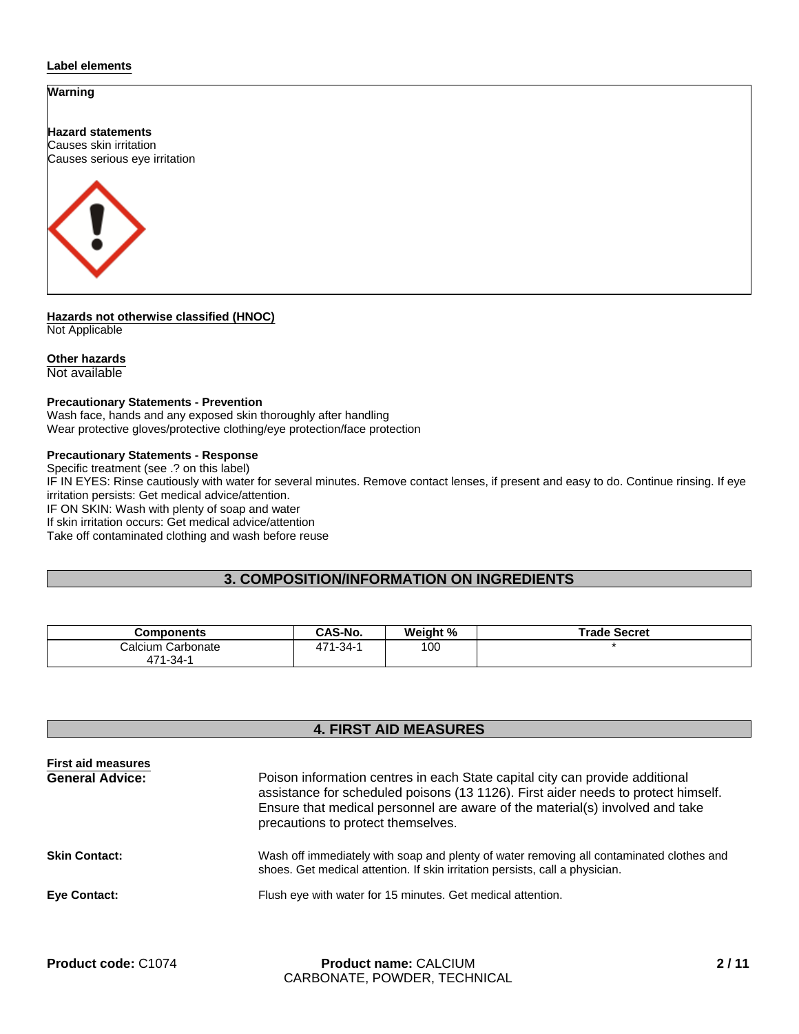#### **Label elements**

### **Warning**

**Hazard statements** Causes skin irritation Causes serious eye irritation



**Hazards not otherwise classified (HNOC)** Not Applicable

#### **Other hazards**

Not available

#### **Precautionary Statements - Prevention**

Wash face, hands and any exposed skin thoroughly after handling Wear protective gloves/protective clothing/eye protection/face protection

#### **Precautionary Statements - Response**

Specific treatment (see .? on this label)

IF IN EYES: Rinse cautiously with water for several minutes. Remove contact lenses, if present and easy to do. Continue rinsing. If eye irritation persists: Get medical advice/attention.

IF ON SKIN: Wash with plenty of soap and water

If skin irritation occurs: Get medical advice/attention

Take off contaminated clothing and wash before reuse

## **3. COMPOSITION/INFORMATION ON INGREDIENTS**

| Components            | <b>CAS-No.</b>       | Weight % | Trade Secret |
|-----------------------|----------------------|----------|--------------|
| Calcium Carbonate     | .71-34- <sub>1</sub> | 100      |              |
| .'71-34- <sub>1</sub> |                      |          |              |

# **4. FIRST AID MEASURES**

| <b>First aid measures</b> |                                                                                                                                                                                                                                                                                         |
|---------------------------|-----------------------------------------------------------------------------------------------------------------------------------------------------------------------------------------------------------------------------------------------------------------------------------------|
| <b>General Advice:</b>    | Poison information centres in each State capital city can provide additional<br>assistance for scheduled poisons (13 1126). First aider needs to protect himself.<br>Ensure that medical personnel are aware of the material(s) involved and take<br>precautions to protect themselves. |
| <b>Skin Contact:</b>      | Wash off immediately with soap and plenty of water removing all contaminated clothes and<br>shoes. Get medical attention. If skin irritation persists, call a physician.                                                                                                                |
| <b>Eye Contact:</b>       | Flush eye with water for 15 minutes. Get medical attention.                                                                                                                                                                                                                             |
|                           |                                                                                                                                                                                                                                                                                         |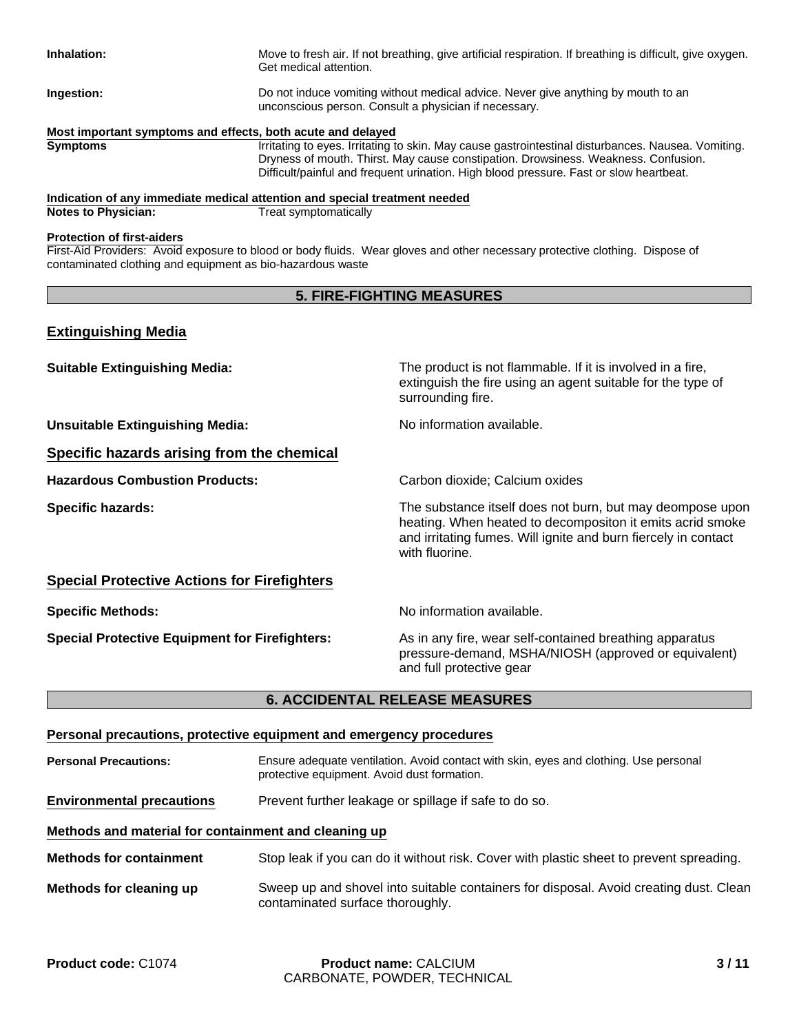| Inhalation:                                                 | Move to fresh air. If not breathing, give artificial respiration. If breathing is difficult, give oxygen.<br>Get medical attention.                                                                                                                                                |
|-------------------------------------------------------------|------------------------------------------------------------------------------------------------------------------------------------------------------------------------------------------------------------------------------------------------------------------------------------|
| Ingestion:                                                  | Do not induce vomiting without medical advice. Never give anything by mouth to an<br>unconscious person. Consult a physician if necessary.                                                                                                                                         |
| Most important symptoms and effects, both acute and delayed |                                                                                                                                                                                                                                                                                    |
| <b>Symptoms</b>                                             | Irritating to eyes. Irritating to skin. May cause gastrointestinal disturbances. Nausea. Vomiting.<br>Dryness of mouth. Thirst. May cause constipation. Drowsiness. Weakness. Confusion.<br>Difficult/painful and frequent urination. High blood pressure. Fast or slow heartbeat. |

### **Indication of any immediate medical attention and special treatment needed<br>Notes to Physician:** Treat symptomatically **Notes to Physician:**

#### **Protection of first-aiders**

First-Aid Providers: Avoid exposure to blood or body fluids. Wear gloves and other necessary protective clothing. Dispose of contaminated clothing and equipment as bio-hazardous waste

# **5. FIRE-FIGHTING MEASURES**

# **Extinguishing Media**

| <b>Suitable Extinguishing Media:</b>                  | The product is not flammable. If it is involved in a fire,<br>extinguish the fire using an agent suitable for the type of<br>surrounding fire.                                                             |
|-------------------------------------------------------|------------------------------------------------------------------------------------------------------------------------------------------------------------------------------------------------------------|
| <b>Unsuitable Extinguishing Media:</b>                | No information available.                                                                                                                                                                                  |
| Specific hazards arising from the chemical            |                                                                                                                                                                                                            |
| <b>Hazardous Combustion Products:</b>                 | Carbon dioxide; Calcium oxides                                                                                                                                                                             |
| <b>Specific hazards:</b>                              | The substance itself does not burn, but may deompose upon<br>heating. When heated to decompositon it emits acrid smoke<br>and irritating fumes. Will ignite and burn fiercely in contact<br>with fluorine. |
| <b>Special Protective Actions for Firefighters</b>    |                                                                                                                                                                                                            |
| <b>Specific Methods:</b>                              | No information available.                                                                                                                                                                                  |
| <b>Special Protective Equipment for Firefighters:</b> | As in any fire, wear self-contained breathing apparatus<br>pressure-demand, MSHA/NIOSH (approved or equivalent)<br>and full protective gear                                                                |

# **6. ACCIDENTAL RELEASE MEASURES**

|                                                      | Personal precautions, protective equipment and emergency procedures                                                                  |
|------------------------------------------------------|--------------------------------------------------------------------------------------------------------------------------------------|
| <b>Personal Precautions:</b>                         | Ensure adequate ventilation. Avoid contact with skin, eyes and clothing. Use personal<br>protective equipment. Avoid dust formation. |
| <b>Environmental precautions</b>                     | Prevent further leakage or spillage if safe to do so.                                                                                |
| Methods and material for containment and cleaning up |                                                                                                                                      |
| <b>Methods for containment</b>                       | Stop leak if you can do it without risk. Cover with plastic sheet to prevent spreading.                                              |
| Methods for cleaning up                              | Sweep up and shovel into suitable containers for disposal. Avoid creating dust. Clean<br>contaminated surface thoroughly.            |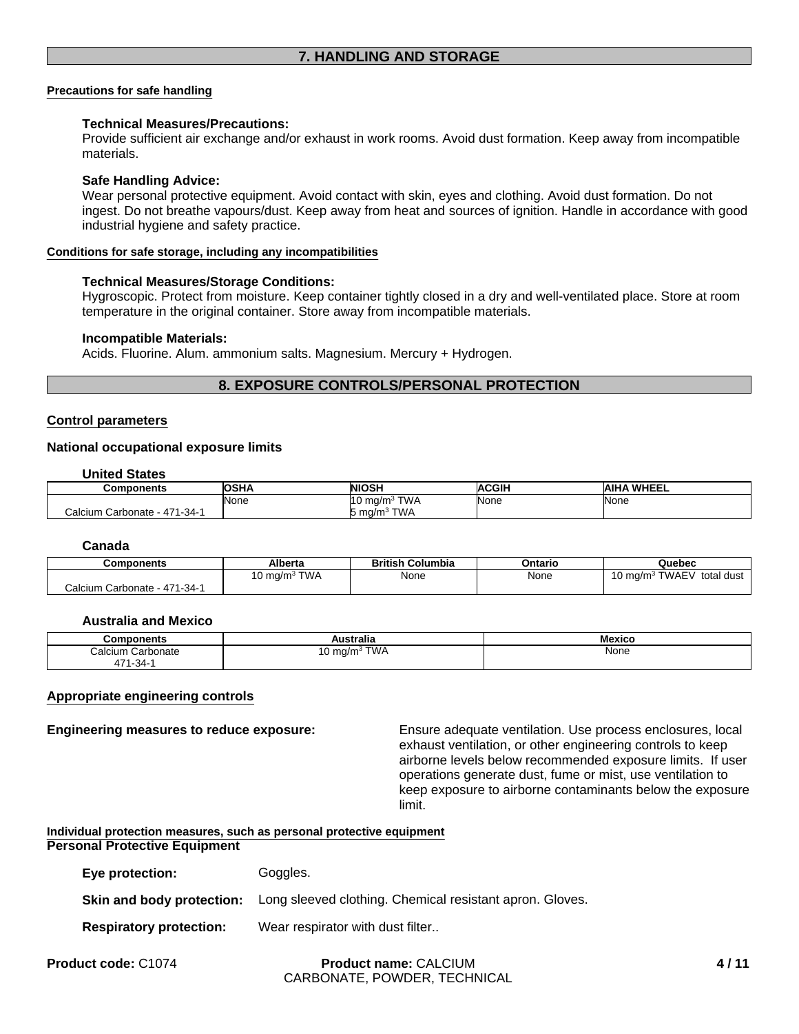#### **Precautions for safe handling**

#### **Technical Measures/Precautions:**

Provide sufficient air exchange and/or exhaust in work rooms. Avoid dust formation. Keep away from incompatible materials.

#### **Safe Handling Advice:**

Wear personal protective equipment. Avoid contact with skin, eyes and clothing. Avoid dust formation. Do not ingest. Do not breathe vapours/dust. Keep away from heat and sources of ignition. Handle in accordance with good industrial hygiene and safety practice.

#### **Conditions for safe storage, including any incompatibilities**

#### **Technical Measures/Storage Conditions:**

Hygroscopic. Protect from moisture. Keep container tightly closed in a dry and well-ventilated place. Store at room temperature in the original container. Store away from incompatible materials.

#### **Incompatible Materials:**

Acids. Fluorine. Alum. ammonium salts. Magnesium. Mercury + Hydrogen.

#### **8. EXPOSURE CONTROLS/PERSONAL PROTECTION**

#### **Control parameters**

#### **National occupational exposure limits**

**United States**

| Components                                       | <b>OSHA</b> | <b>NIOSH</b>                  | <b>ACGIH</b> | WHEEL<br><b>AIHA</b> |
|--------------------------------------------------|-------------|-------------------------------|--------------|----------------------|
|                                                  | <b>None</b> | TWA<br><sup>110</sup><br>ma/m | None         | None                 |
| <sup>.</sup> - 471-34- ؛<br>Calcium<br>Carbonate |             | TWA<br>ma/m<br>. .            |              |                      |

### **Canada**

| Components                   | Alberta                   | <b>British Columbia</b> | Ontario | Quebec                             |
|------------------------------|---------------------------|-------------------------|---------|------------------------------------|
|                              | <b>TWA</b><br>10 mg/m $3$ | None                    | None    | TWAEV<br>10 mg/m $3$<br>total dust |
| Calcium Carbonate - 471-34-1 |                           |                         |         |                                    |

#### **Australia and Mexico**

| ponents<br>omrت             | $- -$<br>'stralia                               | Mexico |
|-----------------------------|-------------------------------------------------|--------|
| :alcium<br>Carbonate<br>Jai | TWA<br>. .<br>ma/m∘<br>$\cdot$<br>$\sim$<br>. . | None   |
| 171 O 1<br>1-34-<br>д.      |                                                 |        |

#### **Appropriate engineering controls**

**Engineering measures to reduce exposure:** Ensure adequate ventilation. Use process enclosures, local exhaust ventilation, or other engineering controls to keep airborne levels below recommended exposure limits. If user operations generate dust, fume or mist, use ventilation to keep exposure to airborne contaminants below the exposure limit.

#### **Individual protection measures, such as personal protective equipment Personal Protective Equipment**

| Eye protection:                | Goggles.                                                 |
|--------------------------------|----------------------------------------------------------|
| Skin and body protection:      | Long sleeved clothing. Chemical resistant apron. Gloves. |
| <b>Respiratory protection:</b> | Wear respirator with dust filter                         |
|                                |                                                          |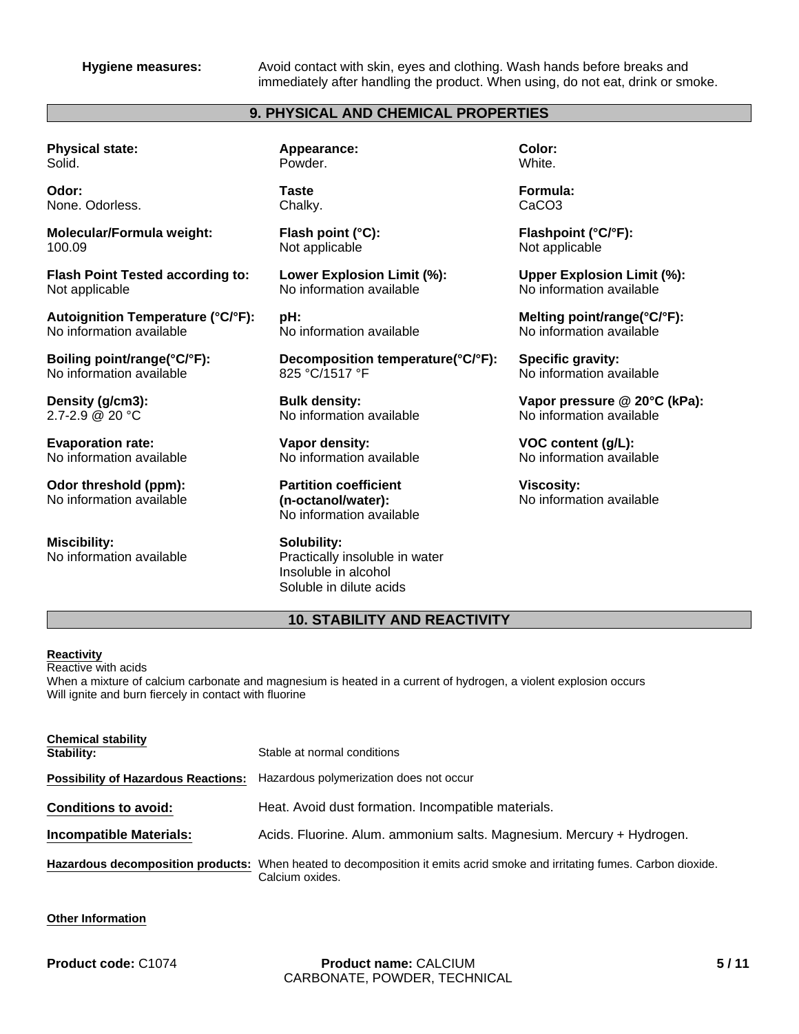**Hygiene measures:** Avoid contact with skin, eyes and clothing. Wash hands before breaks and immediately after handling the product. When using, do not eat, drink or smoke.

# **9. PHYSICAL AND CHEMICAL PROPERTIES**

**Physical state:** Solid.

**Odor:** None. Odorless.

**Molecular/Formula weight:** 100.09

**Flash Point Tested according to:** Not applicable

**Autoignition Temperature (°C/°F):** No information available

**Boiling point/range(°C/°F):** No information available

**Density (g/cm3):** 2.7-2.9 @ 20 °C

**Evaporation rate:** No information available

**Odor threshold (ppm):** No information available

**Miscibility:** No information available **Appearance:** Powder.

**Taste** Chalky.

**Flash point (°C):** Not applicable

**Lower Explosion Limit (%):** No information available

**pH:** No information available

**Decomposition temperature(°C/°F):** 825 °C/1517 °F

**Bulk density:** No information available

**Vapor density:** No information available

**Partition coefficient (n-octanol/water):** No information available

**Solubility:** Practically insoluble in water Insoluble in alcohol Soluble in dilute acids

**Color: White.** 

**Formula:** CaCO3

**Flashpoint (°C/°F):** Not applicable

**Upper Explosion Limit (%):** No information available

**Melting point/range(°C/°F):** No information available

**Specific gravity:** No information available

**Vapor pressure @ 20°C (kPa):** No information available

**VOC content (g/L):** No information available

**Viscosity:** No information available

# **10. STABILITY AND REACTIVITY**

#### **Reactivity**

Reactive with acids When a mixture of calcium carbonate and magnesium is heated in a current of hydrogen, a violent explosion occurs Will ignite and burn fiercely in contact with fluorine

| <b>Chemical stability</b><br>Stability: | Stable at normal conditions                                                                                                                  |
|-----------------------------------------|----------------------------------------------------------------------------------------------------------------------------------------------|
|                                         | <b>Possibility of Hazardous Reactions:</b> Hazardous polymerization does not occur                                                           |
| <b>Conditions to avoid:</b>             | Heat. Avoid dust formation. Incompatible materials.                                                                                          |
| <b>Incompatible Materials:</b>          | Acids. Fluorine. Alum. ammonium salts. Magnesium. Mercury + Hydrogen.                                                                        |
|                                         | Hazardous decomposition products: When heated to decomposition it emits acrid smoke and irritating fumes. Carbon dioxide.<br>Calcium oxides. |

#### **Other Information**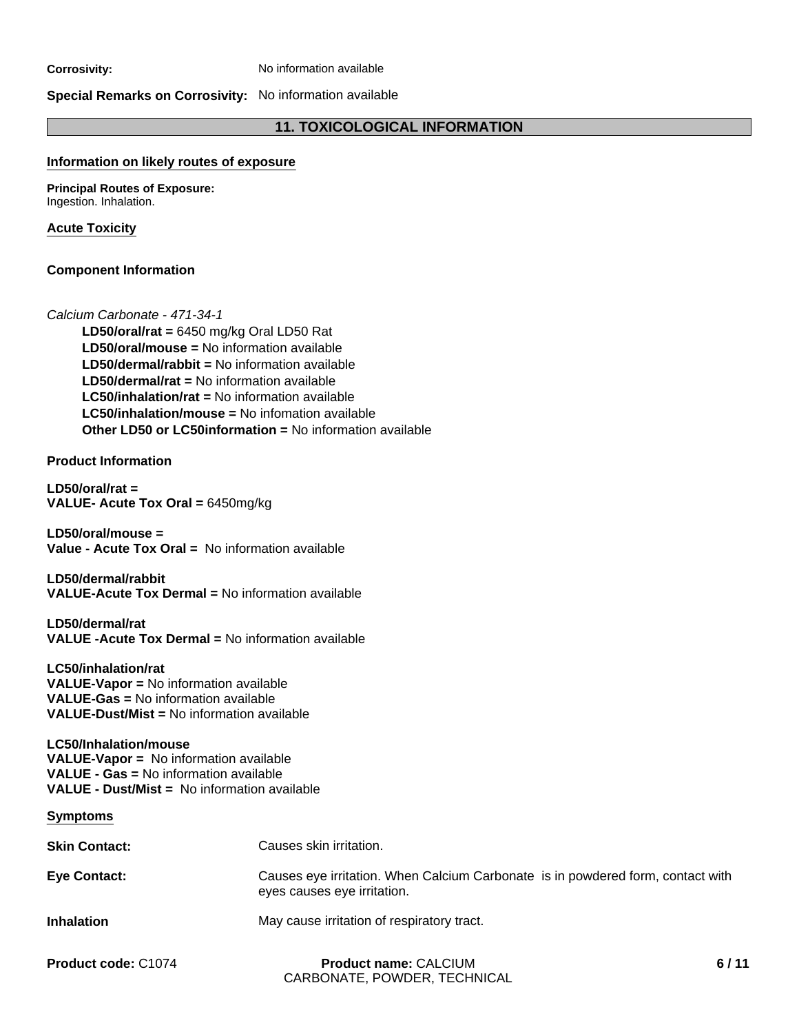**Corrosivity:** No information available

### **Special Remarks on Corrosivity:** No information available

# **11. TOXICOLOGICAL INFORMATION**

#### **Information on likely routes of exposure**

**Principal Routes of Exposure:** Ingestion. Inhalation.

#### **Acute Toxicity**

#### **Component Information**

#### *Calcium Carbonate - 471-34-1*

**LD50/dermal/rabbit =** No information available **LD50/dermal/rat =** No information available **LC50/inhalation/rat =** No information available **LD50/oral/mouse =** No information available **LC50/inhalation/mouse =** No infomation available **LD50/oral/rat =** 6450 mg/kg Oral LD50 Rat **Other LD50 or LC50information =** No information available

**Product Information**

**LD50/oral/rat = VALUE- Acute Tox Oral =** 6450mg/kg

**LD50/oral/mouse = Value - Acute Tox Oral =** No information available

**LD50/dermal/rabbit VALUE-Acute Tox Dermal =** No information available

**LD50/dermal/rat VALUE -Acute Tox Dermal =** No information available

**LC50/inhalation/rat VALUE-Vapor =** No information available **VALUE-Gas =** No information available **VALUE-Dust/Mist =** No information available

#### **LC50/Inhalation/mouse VALUE-Vapor =** No information available **VALUE - Gas =** No information available **VALUE - Dust/Mist =** No information available

**Symptoms**

| <b>Skin Contact:</b> | Causes skin irritation.                                                                                        |      |
|----------------------|----------------------------------------------------------------------------------------------------------------|------|
| <b>Eye Contact:</b>  | Causes eye irritation. When Calcium Carbonate is in powdered form, contact with<br>eyes causes eye irritation. |      |
| <b>Inhalation</b>    | May cause irritation of respiratory tract.                                                                     |      |
| Product code: C1074  | <b>Product name: CALCIUM</b><br>CARBONATE, POWDER, TECHNICAL                                                   | 6/11 |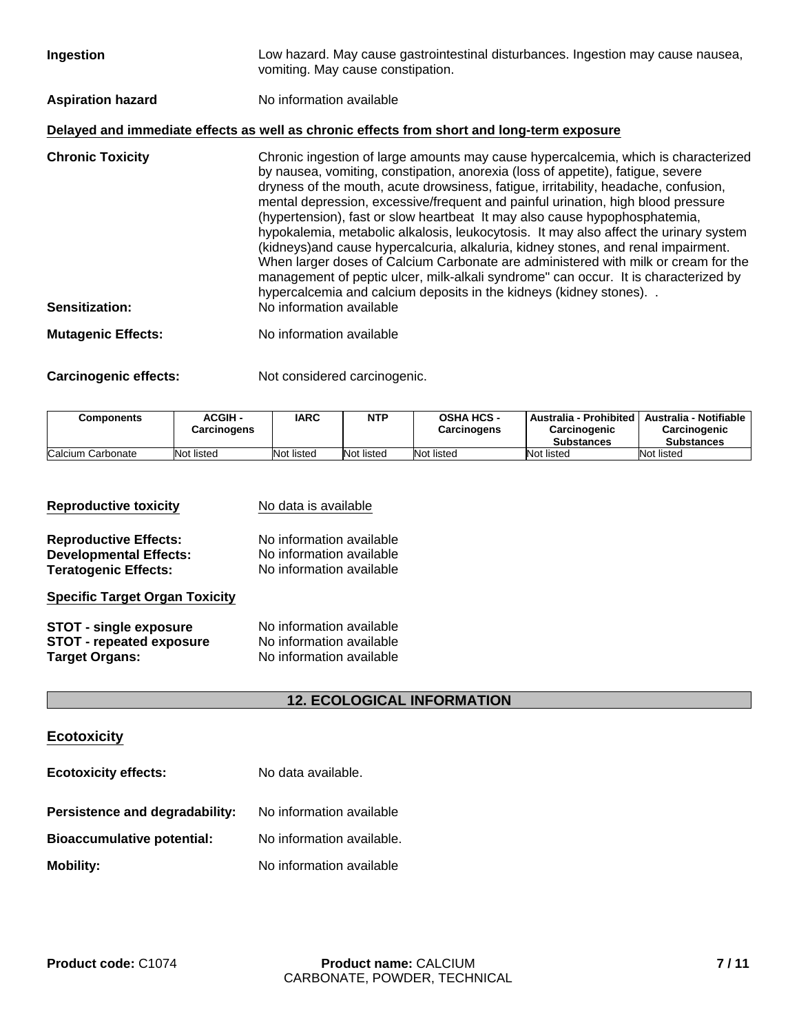mental depression, excessive/frequent and painful urination, high blood pressure (hypertension), fast or slow heartbeat It may also cause hypophosphatemia, hypokalemia, metabolic alkalosis, leukocytosis. It may also affect the urinary system (kidneys)and cause hypercalcuria, alkaluria, kidney stones, and renal impairment. When larger doses of Calcium Carbonate are administered with milk or cream for the management of peptic ulcer, milk-alkali syndrome" can occur. It is characterized by hypercalcemia and calcium deposits in the kidneys (kidney stones). . **Sensitization:** No information available

**Mutagenic Effects:** No information available

**Carcinogenic effects:** Not considered carcinogenic.

| Components        | <b>ACGIH -</b><br>Carcinogens | <b>IARC</b> | <b>NTP</b> | <b>OSHA HCS -</b><br>Carcinogens | Australia - Prohibited   Australia - Notifiable  <br>Carcinogenic<br><b>Substances</b> | Carcinogenic<br><b>Substances</b> |
|-------------------|-------------------------------|-------------|------------|----------------------------------|----------------------------------------------------------------------------------------|-----------------------------------|
| Calcium Carbonate | Not listed                    | Not listed  | Not listed | Not listed                       | Not listed                                                                             | Not listed                        |

| <b>Reproductive toxicity</b>                                  | No data is available                                 |  |  |  |
|---------------------------------------------------------------|------------------------------------------------------|--|--|--|
| <b>Reproductive Effects:</b><br><b>Developmental Effects:</b> | No information available<br>No information available |  |  |  |
| <b>Teratogenic Effects:</b>                                   | No information available                             |  |  |  |
| <b>Specific Target Organ Toxicity</b>                         |                                                      |  |  |  |
| <b>STOT - single exposure</b>                                 | No information available                             |  |  |  |
| <b>STOT - repeated exposure</b>                               | No information available                             |  |  |  |
| <b>Target Organs:</b>                                         | No information available                             |  |  |  |

# **12. ECOLOGICAL INFORMATION**

# **Ecotoxicity**

| <b>Ecotoxicity effects:</b>       | No data available.        |  |  |
|-----------------------------------|---------------------------|--|--|
| Persistence and degradability:    | No information available  |  |  |
| <b>Bioaccumulative potential:</b> | No information available. |  |  |
| <b>Mobility:</b>                  | No information available  |  |  |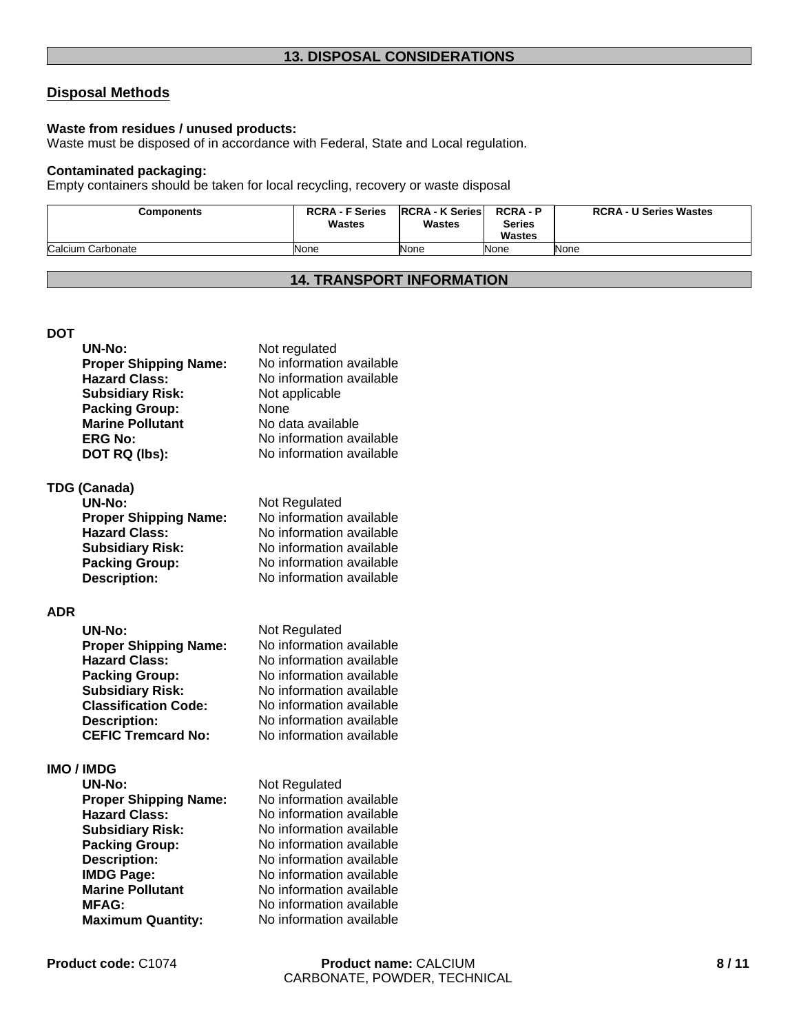# **Disposal Methods**

## **Waste from residues / unused products:**

Waste must be disposed of in accordance with Federal, State and Local regulation.

#### **Contaminated packaging:**

Empty containers should be taken for local recycling, recovery or waste disposal

| <b>Components</b> | <b>RCRA - F Series</b><br><b>Wastes</b> | <b>RCRA - K Series</b><br><b>Wastes</b> | <b>RCRA-P</b><br>Series<br><b>Wastes</b> | <b>RCRA - U Series Wastes</b> |
|-------------------|-----------------------------------------|-----------------------------------------|------------------------------------------|-------------------------------|
| Calcium Carbonate | None                                    | None                                    | None                                     | None                          |

# **14. TRANSPORT INFORMATION**

**DOT**

|            | UN-No:                                               | Not regulated                             |
|------------|------------------------------------------------------|-------------------------------------------|
|            | <b>Proper Shipping Name:</b>                         | No information available                  |
|            | <b>Hazard Class:</b>                                 | No information available                  |
|            | <b>Subsidiary Risk:</b>                              | Not applicable                            |
|            | <b>Packing Group:</b>                                | None                                      |
|            | <b>Marine Pollutant</b>                              | No data available                         |
|            | <b>ERG No:</b>                                       | No information available                  |
|            | DOT RQ (lbs):                                        | No information available                  |
|            |                                                      |                                           |
|            | <b>TDG (Canada)</b><br>UN-No:                        |                                           |
|            |                                                      | Not Regulated<br>No information available |
|            | <b>Proper Shipping Name:</b><br><b>Hazard Class:</b> | No information available                  |
|            |                                                      | No information available                  |
|            | <b>Subsidiary Risk:</b>                              | No information available                  |
|            | <b>Packing Group:</b>                                | No information available                  |
|            | <b>Description:</b>                                  |                                           |
| <b>ADR</b> |                                                      |                                           |
|            | <b>UN-No:</b>                                        | Not Regulated                             |
|            | <b>Proper Shipping Name:</b>                         | No information available                  |
|            | <b>Hazard Class:</b>                                 | No information available                  |
|            | <b>Packing Group:</b>                                | No information available                  |
|            | <b>Subsidiary Risk:</b>                              | No information available                  |
|            | <b>Classification Code:</b>                          | No information available                  |
|            |                                                      | No information available                  |
|            | <b>Description:</b>                                  | No information available                  |
|            | <b>CEFIC Tremcard No:</b>                            |                                           |

# **IMO / IMDG**

| <b>UN-No:</b>                | Not Regulated            |
|------------------------------|--------------------------|
| <b>Proper Shipping Name:</b> | No information available |
| <b>Hazard Class:</b>         | No information available |
| <b>Subsidiary Risk:</b>      | No information available |
| <b>Packing Group:</b>        | No information available |
| <b>Description:</b>          | No information available |
| <b>IMDG Page:</b>            | No information available |
| <b>Marine Pollutant</b>      | No information available |
| <b>MFAG:</b>                 | No information available |
| <b>Maximum Quantity:</b>     | No information available |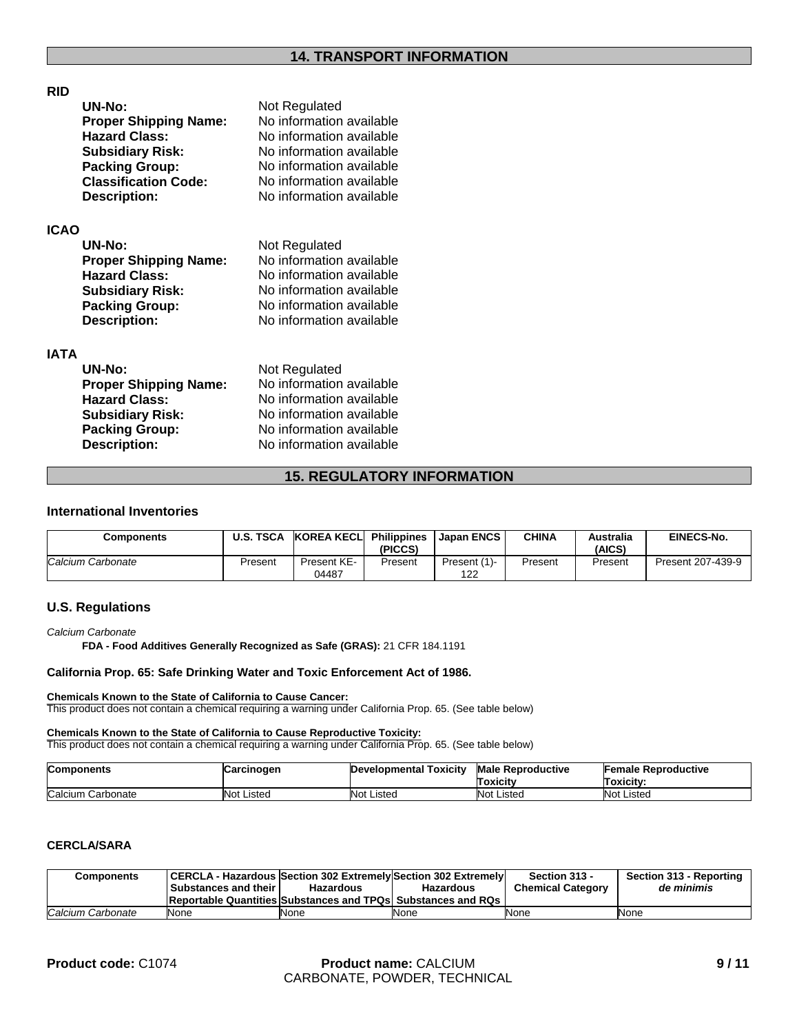# **RID**

| UN-No:                       | Not Regulated            |
|------------------------------|--------------------------|
| <b>Proper Shipping Name:</b> | No information available |
| <b>Hazard Class:</b>         | No information available |
| <b>Subsidiary Risk:</b>      | No information available |
| <b>Packing Group:</b>        | No information available |
| <b>Classification Code:</b>  | No information available |
| <b>Description:</b>          | No information available |

#### **ICAO**

| UN-No:                       | Not Regulated            |
|------------------------------|--------------------------|
| <b>Proper Shipping Name:</b> | No information available |
| <b>Hazard Class:</b>         | No information available |
| <b>Subsidiary Risk:</b>      | No information available |
| <b>Packing Group:</b>        | No information available |
| <b>Description:</b>          | No information available |

#### **IATA**

| UN-No:                       | Not Regulated            |
|------------------------------|--------------------------|
| <b>Proper Shipping Name:</b> | No information available |
| <b>Hazard Class:</b>         | No information available |
| <b>Subsidiary Risk:</b>      | No information available |
| <b>Packing Group:</b>        | No information available |
| <b>Description:</b>          | No information available |

# **15. REGULATORY INFORMATION**

### **International Inventories**

| Components        | U.S. TSCA | <b>KOREA KECLI</b>   | <b>Philippines</b><br>(PICCS) | Japan ENCS          | <b>CHINA</b> | Australia<br>(AICS) | EINECS-No.        |
|-------------------|-----------|----------------------|-------------------------------|---------------------|--------------|---------------------|-------------------|
| Calcium Carbonate | Present   | Present KE-<br>04487 | Present                       | Present (1)-<br>122 | Present      | Present             | Present 207-439-9 |

### **U.S. Regulations**

#### *Calcium Carbonate*

**FDA - Food Additives Generally Recognized as Safe (GRAS):** 21 CFR 184.1191

#### **California Prop. 65: Safe Drinking Water and Toxic Enforcement Act of 1986.**

#### **Chemicals Known to the State of California to Cause Cancer:**

This product does not contain a chemical requiring a warning under California Prop. 65. (See table below)

#### **Chemicals Known to the State of California to Cause Reproductive Toxicity:**

This product does not contain a chemical requiring a warning under California Prop. 65. (See table below)

| <b>Components</b>    | Carcinogen | Developmental Toxicity | <b>Male Reproductive</b><br>Toxicitv | Female Reproductive<br>Toxicity: |
|----------------------|------------|------------------------|--------------------------------------|----------------------------------|
| Calcium<br>Carbonate | Not Listed | <b>Not Listed</b>      | Not Listeo                           | <b>Not Listed</b>                |

# **CERCLA/SARA**

| Components        | <b>Substances and their I</b> | <b>CERCLA - Hazardous Section 302 Extremely Section 302 Extremely</b><br>Hazardous | <b>Hazardous</b> | Section 313 -<br><b>Chemical Category</b> | Section 313 - Reporting<br>de minimis |
|-------------------|-------------------------------|------------------------------------------------------------------------------------|------------------|-------------------------------------------|---------------------------------------|
|                   |                               | <b>Reportable Quantities Substances and TPQs Substances and RQs</b>                |                  |                                           |                                       |
| Calcium Carbonate | None                          | None                                                                               | None             | None                                      | None                                  |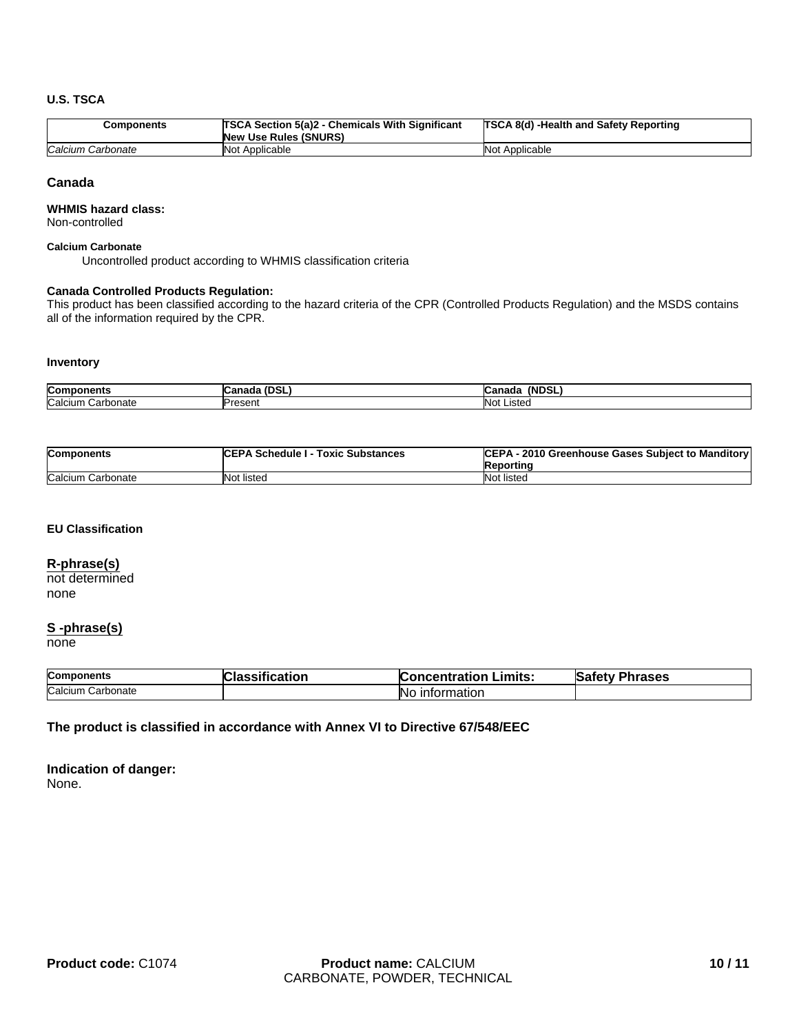#### **U.S. TSCA**

| Components        | <b>TSCA Section 5(a)2 - Chemicals With Significant</b><br><b>New Use Rules (SNURS)</b> | <b>TSCA 8(d) -Health and Safety Reporting</b> |
|-------------------|----------------------------------------------------------------------------------------|-----------------------------------------------|
| Calcium Carbonate | Not Applicable                                                                         | Not Applicable                                |

#### **Canada**

#### **WHMIS hazard class:**

Non-controlled

#### **Calcium Carbonate**

Uncontrolled product according to WHMIS classification criteria

#### **Canada Controlled Products Regulation:**

This product has been classified according to the hazard criteria of the CPR (Controlled Products Regulation) and the MSDS contains all of the information required by the CPR.

#### **Inventory**

| Compon<br>nents                 | $\sim$<br>$\sim$ $\sim$ $\sim$ $\sim$ $\sim$<br>בט<br>iauc<br>. | <b>(NDSL</b><br>ำท<br>-udildu- |
|---------------------------------|-----------------------------------------------------------------|--------------------------------|
| Calcium<br>rbonate<br>חה<br>الص | ∽<br>$Jronon*$<br>י וסטסו                                       | <b>Not</b><br>.iste            |

| <b>Components</b> | <b>CEPA Schedule I - Toxic Substances</b> | CEPA - 2010 Greenhouse Gases Subject to Manditory<br>Reporting |
|-------------------|-------------------------------------------|----------------------------------------------------------------|
| Calcium Carbonate | Not listed                                | Not listed                                                     |

#### **EU Classification**

#### **R-phrase(s)**

not determined none

# **S -phrase(s)**

none

| <b>Components</b>    | atior<br>-- | .imits:<br>$\sim$ ntration<br>ation :<br>uenr | าrases<br>-<br>эли |
|----------------------|-------------|-----------------------------------------------|--------------------|
| Calcium<br>Carbonate |             | 'Nι<br>nation                                 |                    |

#### **The product is classified in accordance with Annex VI to Directive 67/548/EEC**

**Indication of danger:** None.